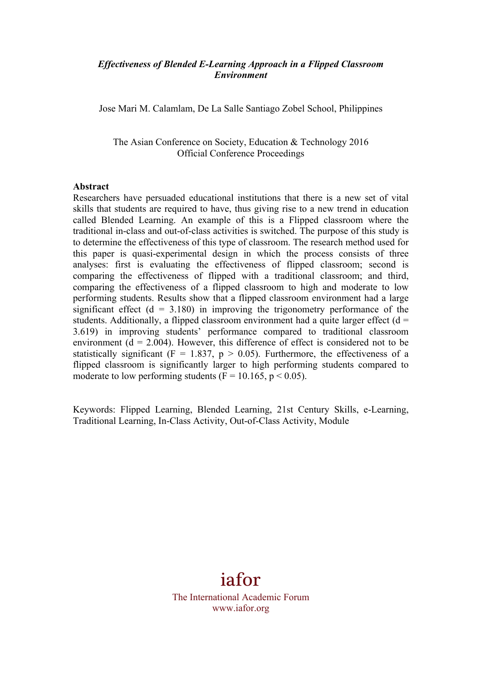#### *Effectiveness of Blended E-Learning Approach in a Flipped Classroom Environment*

Jose Mari M. Calamlam, De La Salle Santiago Zobel School, Philippines

The Asian Conference on Society, Education & Technology 2016 Official Conference Proceedings

#### **Abstract**

Researchers have persuaded educational institutions that there is a new set of vital skills that students are required to have, thus giving rise to a new trend in education called Blended Learning. An example of this is a Flipped classroom where the traditional in-class and out-of-class activities is switched. The purpose of this study is to determine the effectiveness of this type of classroom. The research method used for this paper is quasi-experimental design in which the process consists of three analyses: first is evaluating the effectiveness of flipped classroom; second is comparing the effectiveness of flipped with a traditional classroom; and third, comparing the effectiveness of a flipped classroom to high and moderate to low performing students. Results show that a flipped classroom environment had a large significant effect  $(d = 3.180)$  in improving the trigonometry performance of the students. Additionally, a flipped classroom environment had a quite larger effect  $(d =$ 3.619) in improving students' performance compared to traditional classroom environment  $(d = 2.004)$ . However, this difference of effect is considered not to be statistically significant ( $F = 1.837$ ,  $p > 0.05$ ). Furthermore, the effectiveness of a flipped classroom is significantly larger to high performing students compared to moderate to low performing students  $(F = 10.165, p \le 0.05)$ .

Keywords: Flipped Learning, Blended Learning, 21st Century Skills, e-Learning, Traditional Learning, In-Class Activity, Out-of-Class Activity, Module

# iafor

The International Academic Forum www.iafor.org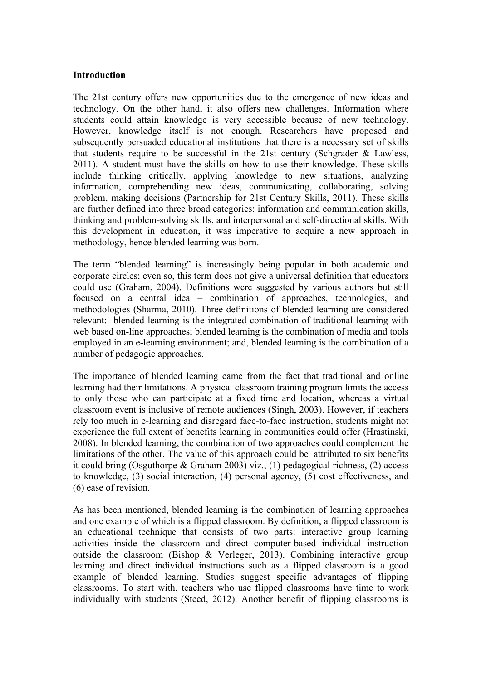#### **Introduction**

The 21st century offers new opportunities due to the emergence of new ideas and technology. On the other hand, it also offers new challenges. Information where students could attain knowledge is very accessible because of new technology. However, knowledge itself is not enough. Researchers have proposed and subsequently persuaded educational institutions that there is a necessary set of skills that students require to be successful in the 21st century (Schgrader & Lawless, 2011). A student must have the skills on how to use their knowledge. These skills include thinking critically, applying knowledge to new situations, analyzing information, comprehending new ideas, communicating, collaborating, solving problem, making decisions (Partnership for 21st Century Skills, 2011). These skills are further defined into three broad categories: information and communication skills, thinking and problem-solving skills, and interpersonal and self-directional skills. With this development in education, it was imperative to acquire a new approach in methodology, hence blended learning was born.

The term "blended learning" is increasingly being popular in both academic and corporate circles; even so, this term does not give a universal definition that educators could use (Graham, 2004). Definitions were suggested by various authors but still focused on a central idea – combination of approaches, technologies, and methodologies (Sharma, 2010). Three definitions of blended learning are considered relevant: blended learning is the integrated combination of traditional learning with web based on-line approaches; blended learning is the combination of media and tools employed in an e-learning environment; and, blended learning is the combination of a number of pedagogic approaches.

The importance of blended learning came from the fact that traditional and online learning had their limitations. A physical classroom training program limits the access to only those who can participate at a fixed time and location, whereas a virtual classroom event is inclusive of remote audiences (Singh, 2003). However, if teachers rely too much in e-learning and disregard face-to-face instruction, students might not experience the full extent of benefits learning in communities could offer (Hrastinski, 2008). In blended learning, the combination of two approaches could complement the limitations of the other. The value of this approach could be attributed to six benefits it could bring (Osguthorpe & Graham 2003) viz., (1) pedagogical richness, (2) access to knowledge, (3) social interaction, (4) personal agency, (5) cost effectiveness, and (6) ease of revision.

As has been mentioned, blended learning is the combination of learning approaches and one example of which is a flipped classroom. By definition, a flipped classroom is an educational technique that consists of two parts: interactive group learning activities inside the classroom and direct computer-based individual instruction outside the classroom (Bishop & Verleger, 2013). Combining interactive group learning and direct individual instructions such as a flipped classroom is a good example of blended learning. Studies suggest specific advantages of flipping classrooms. To start with, teachers who use flipped classrooms have time to work individually with students (Steed, 2012). Another benefit of flipping classrooms is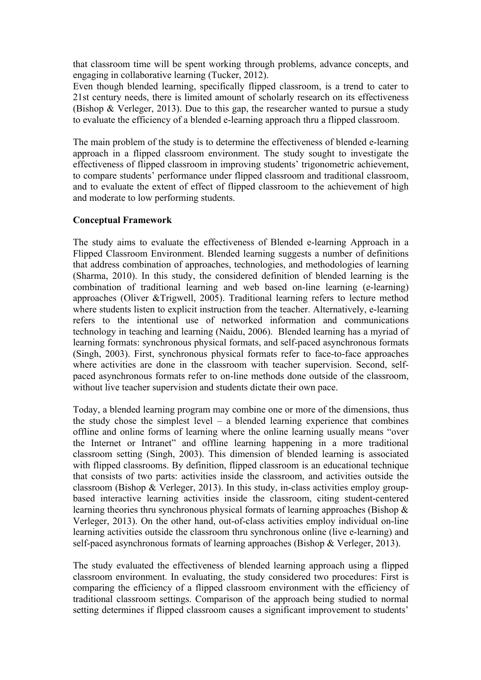that classroom time will be spent working through problems, advance concepts, and engaging in collaborative learning (Tucker, 2012).

Even though blended learning, specifically flipped classroom, is a trend to cater to 21st century needs, there is limited amount of scholarly research on its effectiveness (Bishop & Verleger, 2013). Due to this gap, the researcher wanted to pursue a study to evaluate the efficiency of a blended e-learning approach thru a flipped classroom.

The main problem of the study is to determine the effectiveness of blended e-learning approach in a flipped classroom environment. The study sought to investigate the effectiveness of flipped classroom in improving students' trigonometric achievement, to compare students' performance under flipped classroom and traditional classroom, and to evaluate the extent of effect of flipped classroom to the achievement of high and moderate to low performing students.

#### **Conceptual Framework**

The study aims to evaluate the effectiveness of Blended e-learning Approach in a Flipped Classroom Environment. Blended learning suggests a number of definitions that address combination of approaches, technologies, and methodologies of learning (Sharma, 2010). In this study, the considered definition of blended learning is the combination of traditional learning and web based on-line learning (e-learning) approaches (Oliver &Trigwell, 2005). Traditional learning refers to lecture method where students listen to explicit instruction from the teacher. Alternatively, e-learning refers to the intentional use of networked information and communications technology in teaching and learning (Naidu, 2006). Blended learning has a myriad of learning formats: synchronous physical formats, and self-paced asynchronous formats (Singh, 2003). First, synchronous physical formats refer to face-to-face approaches where activities are done in the classroom with teacher supervision. Second, selfpaced asynchronous formats refer to on-line methods done outside of the classroom, without live teacher supervision and students dictate their own pace.

Today, a blended learning program may combine one or more of the dimensions, thus the study chose the simplest level  $-$  a blended learning experience that combines offline and online forms of learning where the online learning usually means "over the Internet or Intranet" and offline learning happening in a more traditional classroom setting (Singh, 2003). This dimension of blended learning is associated with flipped classrooms. By definition, flipped classroom is an educational technique that consists of two parts: activities inside the classroom, and activities outside the classroom (Bishop & Verleger, 2013). In this study, in-class activities employ groupbased interactive learning activities inside the classroom, citing student-centered learning theories thru synchronous physical formats of learning approaches (Bishop & Verleger, 2013). On the other hand, out-of-class activities employ individual on-line learning activities outside the classroom thru synchronous online (live e-learning) and self-paced asynchronous formats of learning approaches (Bishop & Verleger, 2013).

The study evaluated the effectiveness of blended learning approach using a flipped classroom environment. In evaluating, the study considered two procedures: First is comparing the efficiency of a flipped classroom environment with the efficiency of traditional classroom settings. Comparison of the approach being studied to normal setting determines if flipped classroom causes a significant improvement to students'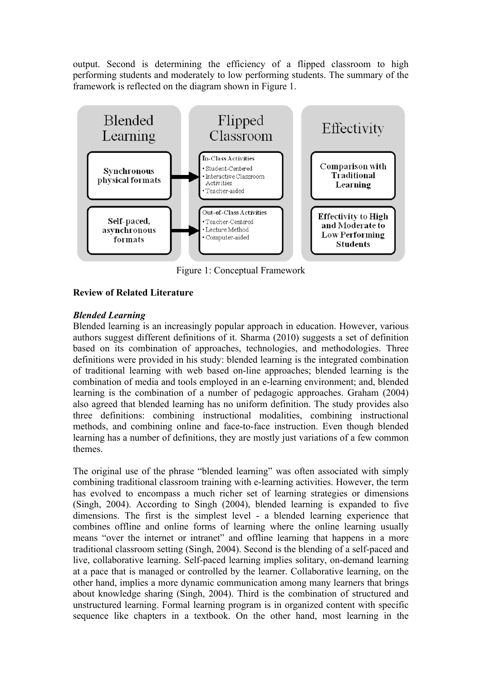output. Second is determining the efficiency of a flipped classroom to high performing students and moderately to low performing students. The summary of the framework is reflected on the diagram shown in Figure 1.



Figure 1: Conceptual Framework

# **Review of Related Literature**

# *Blended Learning*

Blended learning is an increasingly popular approach in education. However, various authors suggest different definitions of it. Sharma (2010) suggests a set of definition based on its combination of approaches, technologies, and methodologies. Three definitions were provided in his study: blended learning is the integrated combination of traditional learning with web based on-line approaches; blended learning is the combination of media and tools employed in an e-learning environment; and, blended learning is the combination of a number of pedagogic approaches. Graham (2004) also agreed that blended learning has no uniform definition. The study provides also three definitions: combining instructional modalities, combining instructional methods, and combining online and face-to-face instruction. Even though blended learning has a number of definitions, they are mostly just variations of a few common themes.

The original use of the phrase "blended learning" was often associated with simply combining traditional classroom training with e-learning activities. However, the term has evolved to encompass a much richer set of learning strategies or dimensions (Singh, 2004). According to Singh (2004), blended learning is expanded to five dimensions. The first is the simplest level - a blended learning experience that combines offline and online forms of learning where the online learning usually means "over the internet or intranet" and offline learning that happens in a more traditional classroom setting (Singh, 2004). Second is the blending of a self-paced and live, collaborative learning. Self-paced learning implies solitary, on-demand learning at a pace that is managed or controlled by the learner. Collaborative learning, on the other hand, implies a more dynamic communication among many learners that brings about knowledge sharing (Singh, 2004). Third is the combination of structured and unstructured learning. Formal learning program is in organized content with specific sequence like chapters in a textbook. On the other hand, most learning in the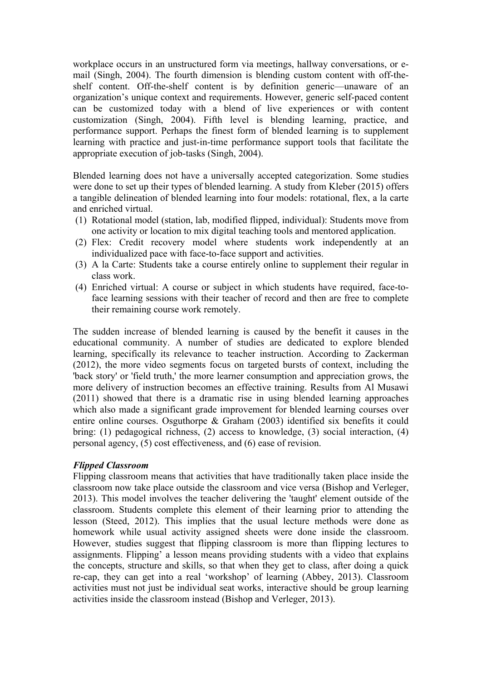workplace occurs in an unstructured form via meetings, hallway conversations, or email (Singh, 2004). The fourth dimension is blending custom content with off-theshelf content. Off-the-shelf content is by definition generic—unaware of an organization's unique context and requirements. However, generic self-paced content can be customized today with a blend of live experiences or with content customization (Singh, 2004). Fifth level is blending learning, practice, and performance support. Perhaps the finest form of blended learning is to supplement learning with practice and just-in-time performance support tools that facilitate the appropriate execution of job-tasks (Singh, 2004).

Blended learning does not have a universally accepted categorization. Some studies were done to set up their types of blended learning. A study from Kleber (2015) offers a tangible delineation of blended learning into four models: rotational, flex, a la carte and enriched virtual.

- (1) Rotational model (station, lab, modified flipped, individual): Students move from one activity or location to mix digital teaching tools and mentored application.
- (2) Flex: Credit recovery model where students work independently at an individualized pace with face-to-face support and activities.
- (3) A la Carte: Students take a course entirely online to supplement their regular in class work.
- (4) Enriched virtual: A course or subject in which students have required, face-toface learning sessions with their teacher of record and then are free to complete their remaining course work remotely.

The sudden increase of blended learning is caused by the benefit it causes in the educational community. A number of studies are dedicated to explore blended learning, specifically its relevance to teacher instruction. According to Zackerman (2012), the more video segments focus on targeted bursts of context, including the 'back story' or 'field truth,' the more learner consumption and appreciation grows, the more delivery of instruction becomes an effective training. Results from Al Musawi (2011) showed that there is a dramatic rise in using blended learning approaches which also made a significant grade improvement for blended learning courses over entire online courses. Osguthorpe & Graham (2003) identified six benefits it could bring: (1) pedagogical richness, (2) access to knowledge, (3) social interaction, (4) personal agency, (5) cost effectiveness, and (6) ease of revision.

#### *Flipped Classroom*

Flipping classroom means that activities that have traditionally taken place inside the classroom now take place outside the classroom and vice versa (Bishop and Verleger, 2013). This model involves the teacher delivering the 'taught' element outside of the classroom. Students complete this element of their learning prior to attending the lesson (Steed, 2012). This implies that the usual lecture methods were done as homework while usual activity assigned sheets were done inside the classroom. However, studies suggest that flipping classroom is more than flipping lectures to assignments. Flipping' a lesson means providing students with a video that explains the concepts, structure and skills, so that when they get to class, after doing a quick re-cap, they can get into a real 'workshop' of learning (Abbey, 2013). Classroom activities must not just be individual seat works, interactive should be group learning activities inside the classroom instead (Bishop and Verleger, 2013).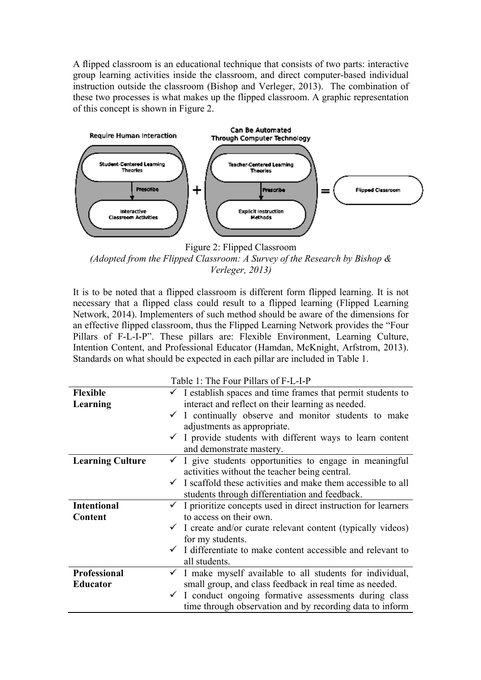A flipped classroom is an educational technique that consists of two parts: interactive group learning activities inside the classroom, and direct computer-based individual instruction outside the classroom (Bishop and Verleger, 2013). The combination of these two processes is what makes up the flipped classroom. A graphic representation of this concept is shown in Figure 2.



Figure 2: Flipped Classroom

*(Adopted from the Flipped Classroom: A Survey of the Research by Bishop & Verleger, 2013)*

It is to be noted that a flipped classroom is different form flipped learning. It is not necessary that a flipped class could result to a flipped learning (Flipped Learning Network, 2014). Implementers of such method should be aware of the dimensions for an effective flipped classroom, thus the Flipped Learning Network provides the "Four Pillars of F-L-I-P". These pillars are: Flexible Environment, Learning Culture, Intention Content, and Professional Educator (Hamdan, McKnight, Arfstrom, 2013). Standards on what should be expected in each pillar are included in Table 1.

|                         | Table 1: The Four Pillars of F-L-I-P                                       |  |  |  |  |
|-------------------------|----------------------------------------------------------------------------|--|--|--|--|
| <b>Flexible</b>         | $\checkmark$ I establish spaces and time frames that permit students to    |  |  |  |  |
| Learning                | interact and reflect on their learning as needed.                          |  |  |  |  |
|                         | $\checkmark$ I continually observe and monitor students to make            |  |  |  |  |
|                         | adjustments as appropriate.                                                |  |  |  |  |
|                         | $\checkmark$ I provide students with different ways to learn content       |  |  |  |  |
|                         | and demonstrate mastery.                                                   |  |  |  |  |
| <b>Learning Culture</b> | $\checkmark$ I give students opportunities to engage in meaningful         |  |  |  |  |
|                         | activities without the teacher being central.                              |  |  |  |  |
|                         | $\checkmark$ I scaffold these activities and make them accessible to all   |  |  |  |  |
|                         | students through differentiation and feedback.                             |  |  |  |  |
| <b>Intentional</b>      | $\checkmark$ I prioritize concepts used in direct instruction for learners |  |  |  |  |
| Content                 | to access on their own.                                                    |  |  |  |  |
|                         | $\checkmark$ I create and/or curate relevant content (typically videos)    |  |  |  |  |
|                         | for my students.                                                           |  |  |  |  |
|                         | $\checkmark$ I differentiate to make content accessible and relevant to    |  |  |  |  |
|                         | all students.                                                              |  |  |  |  |
| <b>Professional</b>     | $\checkmark$ I make myself available to all students for individual,       |  |  |  |  |
| <b>Educator</b>         | small group, and class feedback in real time as needed.                    |  |  |  |  |
|                         | $\checkmark$ I conduct ongoing formative assessments during class          |  |  |  |  |
|                         | time through observation and by recording data to inform                   |  |  |  |  |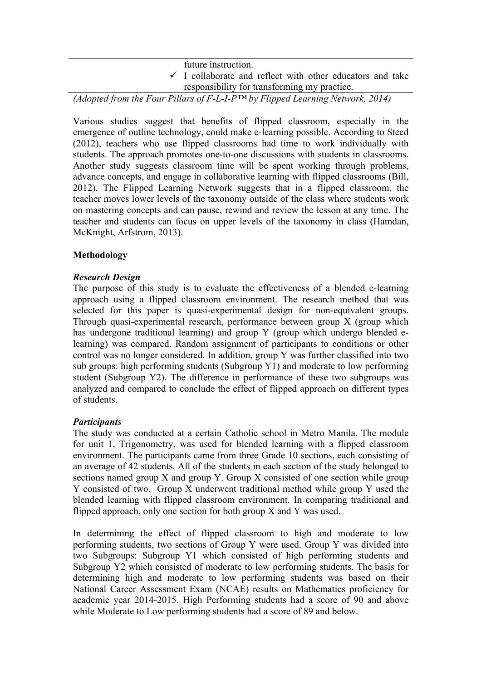| future instruction.                                                  |  |  |  |  |
|----------------------------------------------------------------------|--|--|--|--|
| $\checkmark$ I collaborate and reflect with other educators and take |  |  |  |  |
| responsibility for transforming my practice.                         |  |  |  |  |

*(Adopted from the Four Pillars of F-L-I-P™ by Flipped Learning Network, 2014)*

Various studies suggest that benefits of flipped classroom, especially in the emergence of outline technology, could make e-learning possible. According to Steed (2012), teachers who use flipped classrooms had time to work individually with students. The approach promotes one-to-one discussions with students in classrooms. Another study suggests classroom time will be spent working through problems, advance concepts, and engage in collaborative learning with flipped classrooms (Bill, 2012). The Flipped Learning Network suggests that in a flipped classroom, the teacher moves lower levels of the taxonomy outside of the class where students work on mastering concepts and can pause, rewind and review the lesson at any time. The teacher and students can focus on upper levels of the taxonomy in class (Hamdan, McKnight, Arfstrom, 2013).

# **Methodology**

#### *Research Design*

The purpose of this study is to evaluate the effectiveness of a blended e-learning approach using a flipped classroom environment. The research method that was selected for this paper is quasi-experimental design for non-equivalent groups. Through quasi-experimental research, performance between group X (group which has undergone traditional learning) and group Y (group which undergo blended elearning) was compared. Random assignment of participants to conditions or other control was no longer considered. In addition, group Y was further classified into two sub groups: high performing students (Subgroup Y1) and moderate to low performing student (Subgroup Y2). The difference in performance of these two subgroups was analyzed and compared to conclude the effect of flipped approach on different types of students.

# *Participants*

The study was conducted at a certain Catholic school in Metro Manila. The module for unit 1, Trigonometry, was used for blended learning with a flipped classroom environment. The participants came from three Grade 10 sections, each consisting of an average of 42 students. All of the students in each section of the study belonged to sections named group X and group Y. Group X consisted of one section while group Y consisted of two. Group X underwent traditional method while group Y used the blended learning with flipped classroom environment. In comparing traditional and flipped approach, only one section for both group  $X$  and  $Y$  was used.

In determining the effect of flipped classroom to high and moderate to low performing students, two sections of Group Y were used. Group Y was divided into two Subgroups: Subgroup Y1 which consisted of high performing students and Subgroup Y2 which consisted of moderate to low performing students. The basis for determining high and moderate to low performing students was based on their National Career Assessment Exam (NCAE) results on Mathematics proficiency for academic year 2014-2015. High Performing students had a score of 90 and above while Moderate to Low performing students had a score of 89 and below.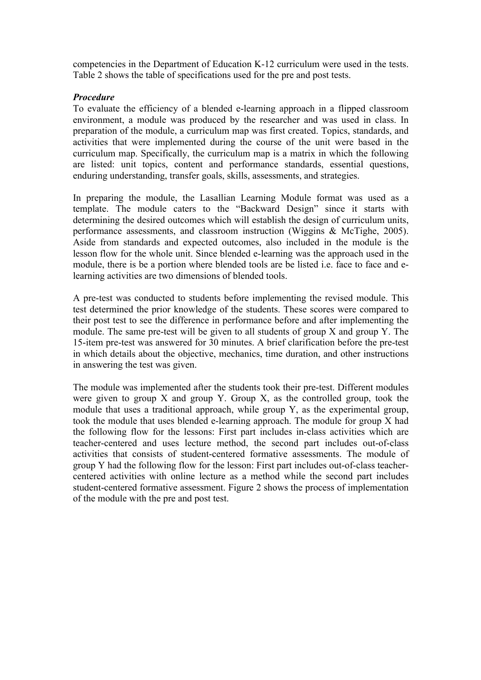competencies in the Department of Education K-12 curriculum were used in the tests. Table 2 shows the table of specifications used for the pre and post tests.

#### *Procedure*

To evaluate the efficiency of a blended e-learning approach in a flipped classroom environment, a module was produced by the researcher and was used in class. In preparation of the module, a curriculum map was first created. Topics, standards, and activities that were implemented during the course of the unit were based in the curriculum map. Specifically, the curriculum map is a matrix in which the following are listed: unit topics, content and performance standards, essential questions, enduring understanding, transfer goals, skills, assessments, and strategies.

In preparing the module, the Lasallian Learning Module format was used as a template. The module caters to the "Backward Design" since it starts with determining the desired outcomes which will establish the design of curriculum units, performance assessments, and classroom instruction (Wiggins & McTighe, 2005). Aside from standards and expected outcomes, also included in the module is the lesson flow for the whole unit. Since blended e-learning was the approach used in the module, there is be a portion where blended tools are be listed i.e. face to face and elearning activities are two dimensions of blended tools.

A pre-test was conducted to students before implementing the revised module. This test determined the prior knowledge of the students. These scores were compared to their post test to see the difference in performance before and after implementing the module. The same pre-test will be given to all students of group X and group Y. The 15-item pre-test was answered for 30 minutes. A brief clarification before the pre-test in which details about the objective, mechanics, time duration, and other instructions in answering the test was given.

The module was implemented after the students took their pre-test. Different modules were given to group  $X$  and group  $Y$ . Group  $X$ , as the controlled group, took the module that uses a traditional approach, while group Y, as the experimental group, took the module that uses blended e-learning approach. The module for group X had the following flow for the lessons: First part includes in-class activities which are teacher-centered and uses lecture method, the second part includes out-of-class activities that consists of student-centered formative assessments. The module of group Y had the following flow for the lesson: First part includes out-of-class teachercentered activities with online lecture as a method while the second part includes student-centered formative assessment. Figure 2 shows the process of implementation of the module with the pre and post test.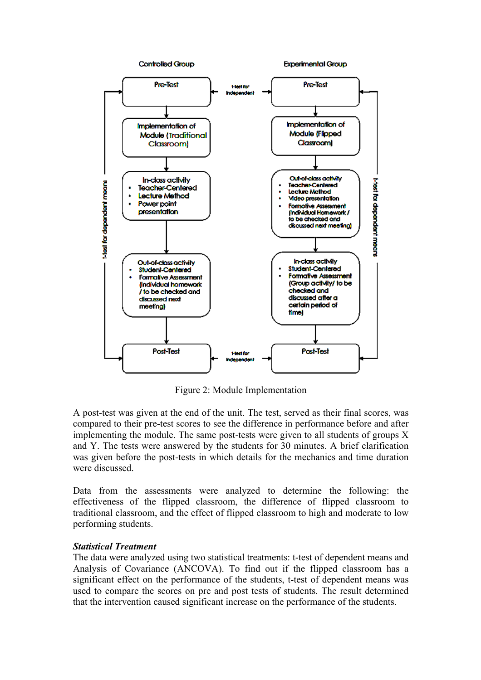

Figure 2: Module Implementation

A post-test was given at the end of the unit. The test, served as their final scores, was compared to their pre-test scores to see the difference in performance before and after implementing the module. The same post-tests were given to all students of groups X and Y. The tests were answered by the students for 30 minutes. A brief clarification was given before the post-tests in which details for the mechanics and time duration were discussed.

Data from the assessments were analyzed to determine the following: the effectiveness of the flipped classroom, the difference of flipped classroom to traditional classroom, and the effect of flipped classroom to high and moderate to low performing students.

# *Statistical Treatment*

The data were analyzed using two statistical treatments: t-test of dependent means and Analysis of Covariance (ANCOVA). To find out if the flipped classroom has a significant effect on the performance of the students, t-test of dependent means was used to compare the scores on pre and post tests of students. The result determined that the intervention caused significant increase on the performance of the students.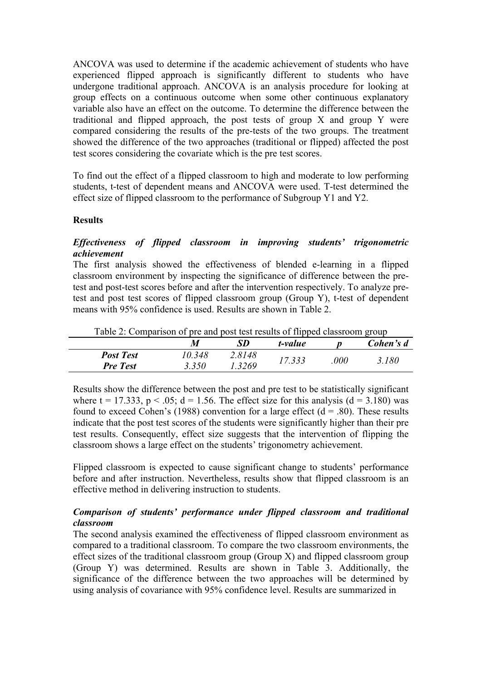ANCOVA was used to determine if the academic achievement of students who have experienced flipped approach is significantly different to students who have undergone traditional approach. ANCOVA is an analysis procedure for looking at group effects on a continuous outcome when some other continuous explanatory variable also have an effect on the outcome. To determine the difference between the traditional and flipped approach, the post tests of group X and group Y were compared considering the results of the pre-tests of the two groups. The treatment showed the difference of the two approaches (traditional or flipped) affected the post test scores considering the covariate which is the pre test scores.

To find out the effect of a flipped classroom to high and moderate to low performing students, t-test of dependent means and ANCOVA were used. T-test determined the effect size of flipped classroom to the performance of Subgroup Y1 and Y2.

#### **Results**

# *Effectiveness of flipped classroom in improving students' trigonometric achievement*

The first analysis showed the effectiveness of blended e-learning in a flipped classroom environment by inspecting the significance of difference between the pretest and post-test scores before and after the intervention respectively. To analyze pretest and post test scores of flipped classroom group (Group Y), t-test of dependent means with 95% confidence is used. Results are shown in Table 2.

| Table 2. Comparison of pre-and post-test results of implied classificant group |        |        |         |      |           |
|--------------------------------------------------------------------------------|--------|--------|---------|------|-----------|
|                                                                                | M      | SD     | t-value |      | Cohen's d |
| <b>Post Test</b>                                                               | 10.348 | 2.8148 |         |      |           |
| <b>Pre Test</b>                                                                | 3.350  | 1.3269 | 17.333  | .000 | 3.180     |

Table 2: Comparison of pre and post test results of flipped classroom group

Results show the difference between the post and pre test to be statistically significant where  $t = 17.333$ ,  $p < .05$ ;  $d = 1.56$ . The effect size for this analysis ( $d = 3.180$ ) was found to exceed Cohen's (1988) convention for a large effect ( $d = .80$ ). These results indicate that the post test scores of the students were significantly higher than their pre test results. Consequently, effect size suggests that the intervention of flipping the classroom shows a large effect on the students' trigonometry achievement.

Flipped classroom is expected to cause significant change to students' performance before and after instruction. Nevertheless, results show that flipped classroom is an effective method in delivering instruction to students.

# *Comparison of students' performance under flipped classroom and traditional classroom*

The second analysis examined the effectiveness of flipped classroom environment as compared to a traditional classroom. To compare the two classroom environments, the effect sizes of the traditional classroom group (Group X) and flipped classroom group (Group Y) was determined. Results are shown in Table 3. Additionally, the significance of the difference between the two approaches will be determined by using analysis of covariance with 95% confidence level. Results are summarized in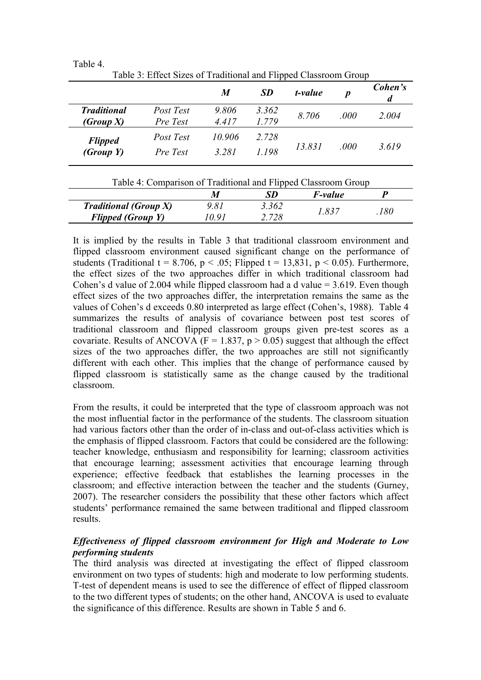|                                        |                       | M              | <b>SD</b>      | t-value        | $\boldsymbol{p}$ | Cohen's<br>d |
|----------------------------------------|-----------------------|----------------|----------------|----------------|------------------|--------------|
| <b>Traditional</b><br><i>(Group X)</i> | Post Test<br>Pre Test | 9.806<br>4.417 | 3.362<br>1.779 | 8.706          | .000             | 2.004        |
| <b>Flipped</b><br>(Group Y)            | Post Test             | 10.906         | 2.728          | 13.831<br>.000 |                  |              |
|                                        | Pre Test              | 3.281          | 1.198          |                |                  | 3.619        |

Table 3: Effect Sizes of Traditional and Flipped Classroom Group

Table 4.

| Table 4: Comparison of Traditional and Flipped Classroom Group |       |       |                |     |
|----------------------------------------------------------------|-------|-------|----------------|-----|
|                                                                |       | SD    | <i>F-value</i> |     |
| <b>Traditional (Group X)</b>                                   | 9.81  | 3.362 | 1.837          | 180 |
| <b>Flipped (Group Y)</b>                                       | 10 91 | 2.728 |                |     |

It is implied by the results in Table 3 that traditional classroom environment and flipped classroom environment caused significant change on the performance of students (Traditional t = 8.706, p < .05; Flipped t = 13,831, p < 0.05). Furthermore, the effect sizes of the two approaches differ in which traditional classroom had Cohen's d value of 2.004 while flipped classroom had a d value = 3.619. Even though effect sizes of the two approaches differ, the interpretation remains the same as the values of Cohen's d exceeds 0.80 interpreted as large effect (Cohen's, 1988). Table 4 summarizes the results of analysis of covariance between post test scores of traditional classroom and flipped classroom groups given pre-test scores as a covariate. Results of ANCOVA ( $F = 1.837$ ,  $p > 0.05$ ) suggest that although the effect sizes of the two approaches differ, the two approaches are still not significantly different with each other. This implies that the change of performance caused by flipped classroom is statistically same as the change caused by the traditional classroom.

From the results, it could be interpreted that the type of classroom approach was not the most influential factor in the performance of the students. The classroom situation had various factors other than the order of in-class and out-of-class activities which is the emphasis of flipped classroom. Factors that could be considered are the following: teacher knowledge, enthusiasm and responsibility for learning; classroom activities that encourage learning; assessment activities that encourage learning through experience; effective feedback that establishes the learning processes in the classroom; and effective interaction between the teacher and the students (Gurney, 2007). The researcher considers the possibility that these other factors which affect students' performance remained the same between traditional and flipped classroom results.

# *Effectiveness of flipped classroom environment for High and Moderate to Low performing students*

The third analysis was directed at investigating the effect of flipped classroom environment on two types of students: high and moderate to low performing students. T-test of dependent means is used to see the difference of effect of flipped classroom to the two different types of students; on the other hand, ANCOVA is used to evaluate the significance of this difference. Results are shown in Table 5 and 6.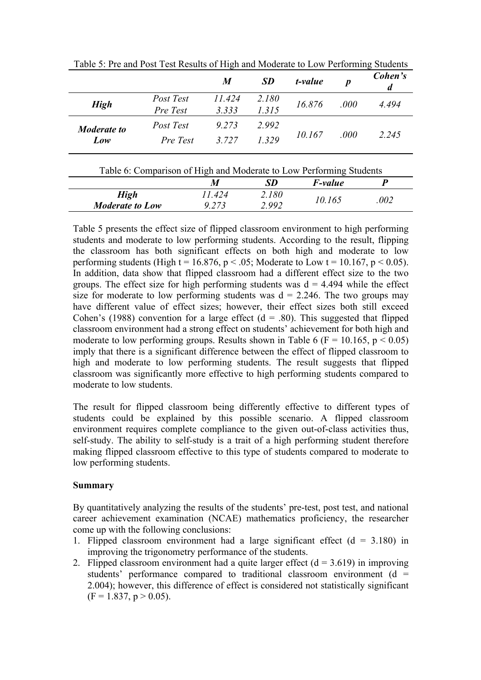|                           |                       | $\boldsymbol{M}$ | <b>SD</b>      | t-value | $\boldsymbol{p}$ | Cohen's<br>d |
|---------------------------|-----------------------|------------------|----------------|---------|------------------|--------------|
| <b>High</b>               | Post Test<br>Pre Test | 11.424<br>3.333  | 2.180<br>1.315 | 16.876  | .000             | 4.494        |
| <b>Moderate to</b><br>Low | Post Test<br>Pre Test | 9.273<br>3 7 2 7 | 2.992<br>1.329 | 10.167  | .000             | 2.245        |

Table 5: Pre and Post Test Results of High and Moderate to Low Performing Students

| Table 6: Comparison of High and Moderate to Low Performing Students |         |       |                |      |  |  |
|---------------------------------------------------------------------|---------|-------|----------------|------|--|--|
|                                                                     | M       | SD    | <i>F-value</i> |      |  |  |
| High                                                                | 11.424  | 2.180 | 10.165         | .002 |  |  |
| <b>Moderate to Low</b>                                              | 9 2 7 3 | 2.992 |                |      |  |  |

Table 5 presents the effect size of flipped classroom environment to high performing students and moderate to low performing students. According to the result, flipping the classroom has both significant effects on both high and moderate to low performing students (High t = 16.876, p < .05; Moderate to Low t = 10.167, p < 0.05). In addition, data show that flipped classroom had a different effect size to the two groups. The effect size for high performing students was  $d = 4.494$  while the effect size for moderate to low performing students was  $d = 2.246$ . The two groups may have different value of effect sizes; however, their effect sizes both still exceed Cohen's (1988) convention for a large effect  $(d = .80)$ . This suggested that flipped classroom environment had a strong effect on students' achievement for both high and moderate to low performing groups. Results shown in Table 6 ( $F = 10.165$ ,  $p < 0.05$ ) imply that there is a significant difference between the effect of flipped classroom to high and moderate to low performing students. The result suggests that flipped classroom was significantly more effective to high performing students compared to moderate to low students.

The result for flipped classroom being differently effective to different types of students could be explained by this possible scenario. A flipped classroom environment requires complete compliance to the given out-of-class activities thus, self-study. The ability to self-study is a trait of a high performing student therefore making flipped classroom effective to this type of students compared to moderate to low performing students.

#### **Summary**

By quantitatively analyzing the results of the students' pre-test, post test, and national career achievement examination (NCAE) mathematics proficiency, the researcher come up with the following conclusions:

- 1. Flipped classroom environment had a large significant effect  $(d = 3.180)$  in improving the trigonometry performance of the students.
- 2. Flipped classroom environment had a quite larger effect  $(d = 3.619)$  in improving students' performance compared to traditional classroom environment ( $d =$ 2.004); however, this difference of effect is considered not statistically significant  $(F = 1.837, p > 0.05)$ .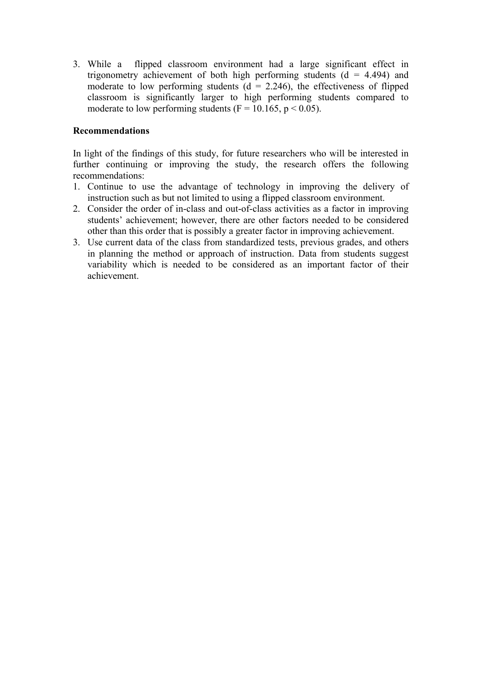3. While a flipped classroom environment had a large significant effect in trigonometry achievement of both high performing students  $(d = 4.494)$  and moderate to low performing students  $(d = 2.246)$ , the effectiveness of flipped classroom is significantly larger to high performing students compared to moderate to low performing students ( $F = 10.165$ ,  $p < 0.05$ ).

#### **Recommendations**

In light of the findings of this study, for future researchers who will be interested in further continuing or improving the study, the research offers the following recommendations:

- 1. Continue to use the advantage of technology in improving the delivery of instruction such as but not limited to using a flipped classroom environment.
- 2. Consider the order of in-class and out-of-class activities as a factor in improving students' achievement; however, there are other factors needed to be considered other than this order that is possibly a greater factor in improving achievement.
- 3. Use current data of the class from standardized tests, previous grades, and others in planning the method or approach of instruction. Data from students suggest variability which is needed to be considered as an important factor of their achievement.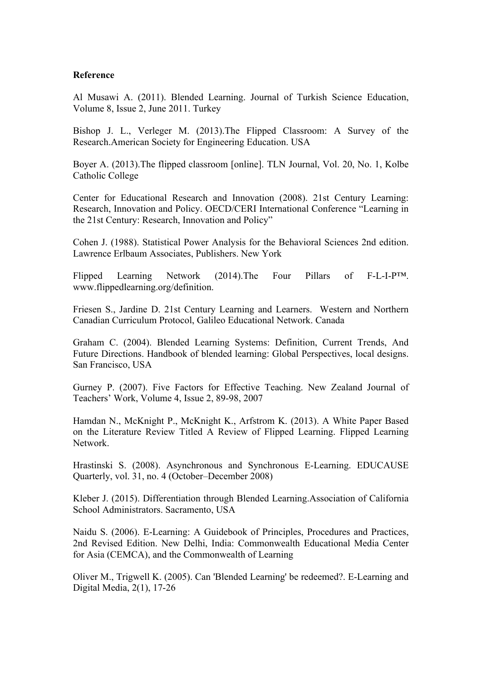#### **Reference**

Al Musawi A. (2011). Blended Learning. Journal of Turkish Science Education, Volume 8, Issue 2, June 2011. Turkey

Bishop J. L., Verleger M. (2013).The Flipped Classroom: A Survey of the Research.American Society for Engineering Education. USA

Boyer A. (2013).The flipped classroom [online]. TLN Journal, Vol. 20, No. 1, Kolbe Catholic College

Center for Educational Research and Innovation (2008). 21st Century Learning: Research, Innovation and Policy. OECD/CERI International Conference "Learning in the 21st Century: Research, Innovation and Policy"

Cohen J. (1988). Statistical Power Analysis for the Behavioral Sciences 2nd edition. Lawrence Erlbaum Associates, Publishers. New York

Flipped Learning Network (2014). The Four Pillars of F-L-I-P<sup>TM</sup>. www.flippedlearning.org/definition.

Friesen S., Jardine D. 21st Century Learning and Learners. Western and Northern Canadian Curriculum Protocol, Galileo Educational Network. Canada

Graham C. (2004). Blended Learning Systems: Definition, Current Trends, And Future Directions. Handbook of blended learning: Global Perspectives, local designs. San Francisco, USA

Gurney P. (2007). Five Factors for Effective Teaching. New Zealand Journal of Teachers' Work, Volume 4, Issue 2, 89-98, 2007

Hamdan N., McKnight P., McKnight K., Arfstrom K. (2013). A White Paper Based on the Literature Review Titled A Review of Flipped Learning. Flipped Learning Network.

Hrastinski S. (2008). Asynchronous and Synchronous E-Learning. EDUCAUSE Quarterly, vol. 31, no. 4 (October–December 2008)

Kleber J. (2015). Differentiation through Blended Learning.Association of California School Administrators. Sacramento, USA

Naidu S. (2006). E-Learning: A Guidebook of Principles, Procedures and Practices, 2nd Revised Edition. New Delhi, India: Commonwealth Educational Media Center for Asia (CEMCA), and the Commonwealth of Learning

Oliver M., Trigwell K. (2005). Can 'Blended Learning' be redeemed?. E-Learning and Digital Media, 2(1), 17-26